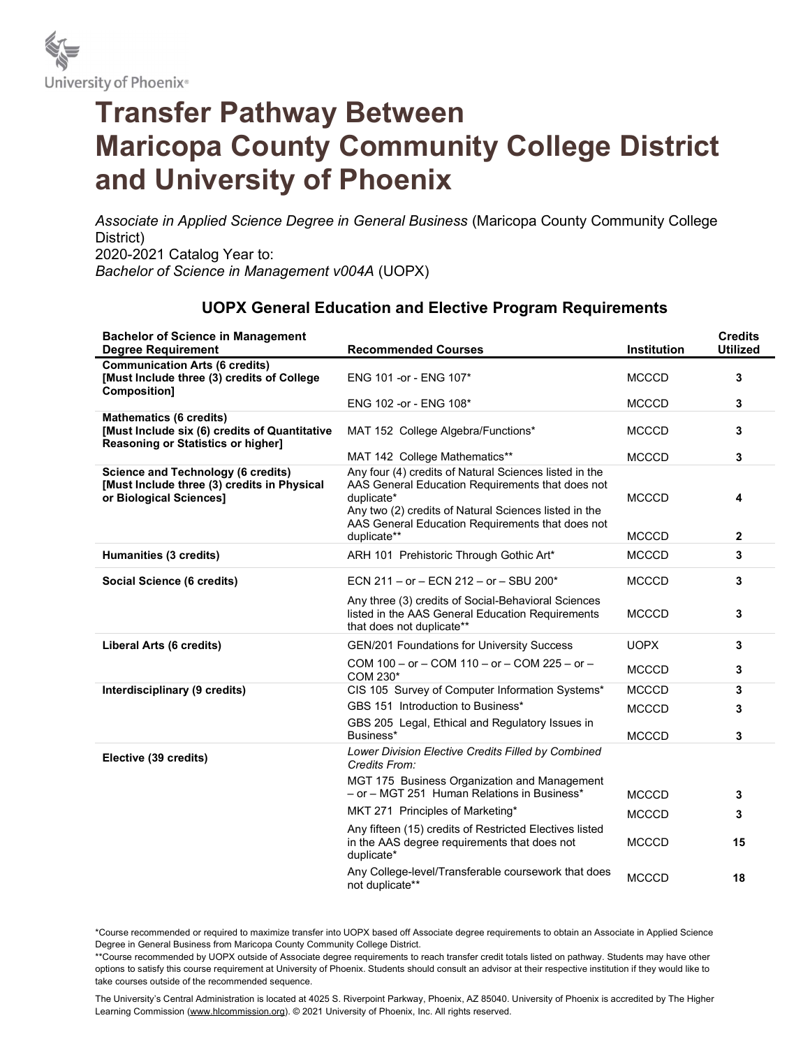

## Transfer Pathway Between Maricopa County Community College District and University of Phoenix

Associate in Applied Science Degree in General Business (Maricopa County Community College District) 2020-2021 Catalog Year to: Bachelor of Science in Management v004A (UOPX)

## UOPX General Education and Elective Program Requirements

| <b>Bachelor of Science in Management</b><br><b>Degree Requirement</b>                                                 | <b>Recommended Courses</b>                                                                                                                                                                                                            | Institution  | <b>Credits</b><br><b>Utilized</b> |
|-----------------------------------------------------------------------------------------------------------------------|---------------------------------------------------------------------------------------------------------------------------------------------------------------------------------------------------------------------------------------|--------------|-----------------------------------|
| <b>Communication Arts (6 credits)</b><br>[Must Include three (3) credits of College<br>Composition]                   | ENG 101 - or - ENG 107*                                                                                                                                                                                                               | <b>MCCCD</b> | 3                                 |
|                                                                                                                       | ENG 102 - or - ENG 108*                                                                                                                                                                                                               | <b>MCCCD</b> | 3                                 |
| <b>Mathematics (6 credits)</b><br>[Must Include six (6) credits of Quantitative<br>Reasoning or Statistics or higher] | MAT 152 College Algebra/Functions*                                                                                                                                                                                                    | <b>MCCCD</b> | 3                                 |
|                                                                                                                       | MAT 142 College Mathematics**                                                                                                                                                                                                         | <b>MCCCD</b> | 3                                 |
| <b>Science and Technology (6 credits)</b><br>[Must Include three (3) credits in Physical<br>or Biological Sciences]   | Any four (4) credits of Natural Sciences listed in the<br>AAS General Education Requirements that does not<br>duplicate*<br>Any two (2) credits of Natural Sciences listed in the<br>AAS General Education Requirements that does not | <b>MCCCD</b> | 4                                 |
|                                                                                                                       | duplicate**                                                                                                                                                                                                                           | <b>MCCCD</b> | $\mathbf{2}$                      |
| Humanities (3 credits)                                                                                                | ARH 101 Prehistoric Through Gothic Art*                                                                                                                                                                                               | <b>MCCCD</b> | 3                                 |
| Social Science (6 credits)                                                                                            | ECN 211 - or - ECN 212 - or - SBU 200*                                                                                                                                                                                                | <b>MCCCD</b> | 3                                 |
|                                                                                                                       | Any three (3) credits of Social-Behavioral Sciences<br>listed in the AAS General Education Requirements<br>that does not duplicate**                                                                                                  | <b>MCCCD</b> | 3                                 |
| Liberal Arts (6 credits)                                                                                              | <b>GEN/201 Foundations for University Success</b>                                                                                                                                                                                     | <b>UOPX</b>  | 3                                 |
|                                                                                                                       | COM 100 - or - COM 110 - or - COM 225 - or -<br>COM 230*                                                                                                                                                                              | <b>MCCCD</b> | 3                                 |
| Interdisciplinary (9 credits)                                                                                         | CIS 105 Survey of Computer Information Systems*                                                                                                                                                                                       | <b>MCCCD</b> | 3                                 |
|                                                                                                                       | GBS 151 Introduction to Business*                                                                                                                                                                                                     | <b>MCCCD</b> | 3                                 |
|                                                                                                                       | GBS 205 Legal, Ethical and Regulatory Issues in<br>Business*                                                                                                                                                                          | <b>MCCCD</b> | 3                                 |
| Elective (39 credits)                                                                                                 | Lower Division Elective Credits Filled by Combined<br>Credits From:                                                                                                                                                                   |              |                                   |
|                                                                                                                       | MGT 175 Business Organization and Management<br>- or - MGT 251 Human Relations in Business*                                                                                                                                           | <b>MCCCD</b> | 3                                 |
|                                                                                                                       | MKT 271 Principles of Marketing*                                                                                                                                                                                                      | <b>MCCCD</b> | 3                                 |
|                                                                                                                       | Any fifteen (15) credits of Restricted Electives listed<br>in the AAS degree requirements that does not<br>duplicate*                                                                                                                 | <b>MCCCD</b> | 15                                |
|                                                                                                                       | Any College-level/Transferable coursework that does<br>not duplicate**                                                                                                                                                                | <b>MCCCD</b> | 18                                |

\*Course recommended or required to maximize transfer into UOPX based off Associate degree requirements to obtain an Associate in Applied Science Degree in General Business from Maricopa County Community College District.

\*\*Course recommended by UOPX outside of Associate degree requirements to reach transfer credit totals listed on pathway. Students may have other options to satisfy this course requirement at University of Phoenix. Students should consult an advisor at their respective institution if they would like to take courses outside of the recommended sequence.

The University's Central Administration is located at 4025 S. Riverpoint Parkway, Phoenix, AZ 85040. University of Phoenix is accredited by The Higher Learning Commission (www.hlcommission.org). @ 2021 University of Phoenix, Inc. All rights reserved.